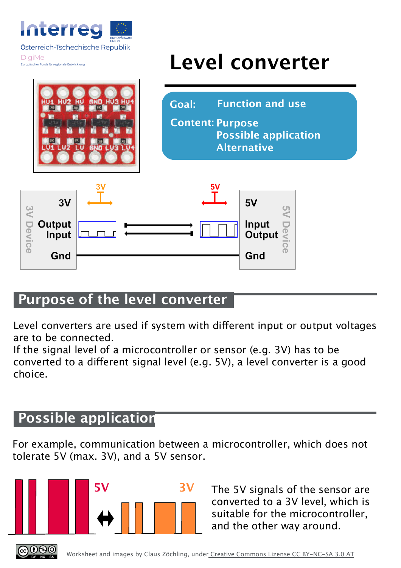

## **Level converter**







## **Purpose of the level converter**

Level converters are used if system with diferent input or output voltages are to be connected.

If the signal level of a microcontroller or sensor (e.g. 3V) has to be converted to a diferent signal level (e.g. 5V), a level converter is a good choice.

## **Possible application**

For example, communication between a microcontroller, which does not tolerate 5V (max. 3V), and a 5V sensor.



The 5V signals of the sensor are converted to a 3V level, which is suitable for the microcontroller, and the other way around.